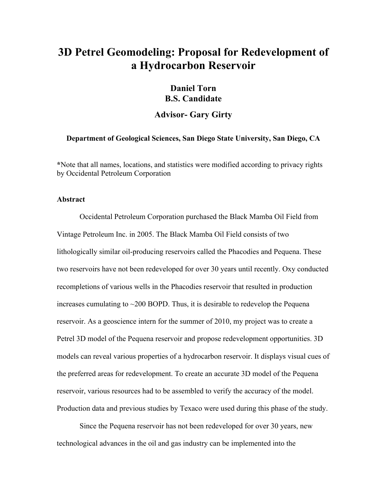# **3D Petrel Geomodeling: Proposal for Redevelopment of a Hydrocarbon Reservoir**

# **Daniel Torn B.S. Candidate**

## **Advisor- Gary Girty**

### **Department of Geological Sciences, San Diego State University, San Diego, CA**

**\***Note that all names, locations, and statistics were modified according to privacy rights by Occidental Petroleum Corporation

#### **Abstract**

Occidental Petroleum Corporation purchased the Black Mamba Oil Field from Vintage Petroleum Inc. in 2005. The Black Mamba Oil Field consists of two lithologically similar oil-producing reservoirs called the Phacodies and Pequena. These two reservoirs have not been redeveloped for over 30 years until recently. Oxy conducted recompletions of various wells in the Phacodies reservoir that resulted in production increases cumulating to ~200 BOPD. Thus, it is desirable to redevelop the Pequena reservoir. As a geoscience intern for the summer of 2010, my project was to create a Petrel 3D model of the Pequena reservoir and propose redevelopment opportunities. 3D models can reveal various properties of a hydrocarbon reservoir. It displays visual cues of the preferred areas for redevelopment. To create an accurate 3D model of the Pequena reservoir, various resources had to be assembled to verify the accuracy of the model. Production data and previous studies by Texaco were used during this phase of the study.

Since the Pequena reservoir has not been redeveloped for over 30 years, new technological advances in the oil and gas industry can be implemented into the